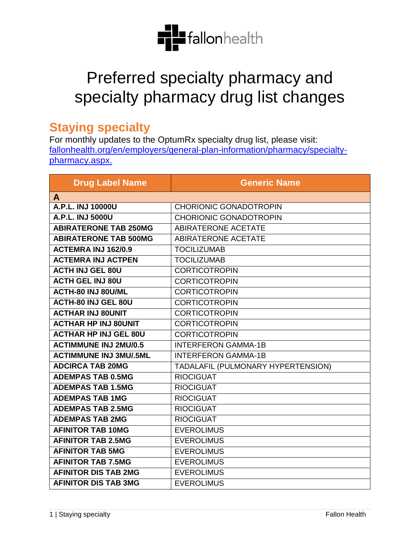

## Preferred specialty pharmacy and specialty pharmacy drug list changes

## **Staying specialty**

For monthly updates to the OptumRx specialty drug list, please visit: [fallonhealth.org/en/employers/general-plan-information/pharmacy/specialty](https://www.fchp.org/en/employers/general-plan-information/pharmacy/specialty-pharmacy.aspx)[pharmacy.aspx.](https://www.fchp.org/en/employers/general-plan-information/pharmacy/specialty-pharmacy.aspx)

| <b>Drug Label Name</b>        | <b>Generic Name</b>                |
|-------------------------------|------------------------------------|
| A                             |                                    |
| A.P.L. INJ 10000U             | <b>CHORIONIC GONADOTROPIN</b>      |
| A.P.L. INJ 5000U              | <b>CHORIONIC GONADOTROPIN</b>      |
| <b>ABIRATERONE TAB 250MG</b>  | <b>ABIRATERONE ACETATE</b>         |
| <b>ABIRATERONE TAB 500MG</b>  | <b>ABIRATERONE ACETATE</b>         |
| <b>ACTEMRA INJ 162/0.9</b>    | <b>TOCILIZUMAB</b>                 |
| <b>ACTEMRA INJ ACTPEN</b>     | <b>TOCILIZUMAB</b>                 |
| <b>ACTH INJ GEL 80U</b>       | <b>CORTICOTROPIN</b>               |
| <b>ACTH GEL INJ 80U</b>       | <b>CORTICOTROPIN</b>               |
| <b>ACTH-80 INJ 80U/ML</b>     | <b>CORTICOTROPIN</b>               |
| <b>ACTH-80 INJ GEL 80U</b>    | <b>CORTICOTROPIN</b>               |
| <b>ACTHAR INJ 80UNIT</b>      | <b>CORTICOTROPIN</b>               |
| <b>ACTHAR HP INJ 80UNIT</b>   | <b>CORTICOTROPIN</b>               |
| <b>ACTHAR HP INJ GEL 80U</b>  | <b>CORTICOTROPIN</b>               |
| <b>ACTIMMUNE INJ 2MU/0.5</b>  | <b>INTERFERON GAMMA-1B</b>         |
| <b>ACTIMMUNE INJ 3MU/.5ML</b> | <b>INTERFERON GAMMA-1B</b>         |
| <b>ADCIRCA TAB 20MG</b>       | TADALAFIL (PULMONARY HYPERTENSION) |
| <b>ADEMPAS TAB 0.5MG</b>      | <b>RIOCIGUAT</b>                   |
| <b>ADEMPAS TAB 1.5MG</b>      | <b>RIOCIGUAT</b>                   |
| <b>ADEMPAS TAB 1MG</b>        | <b>RIOCIGUAT</b>                   |
| <b>ADEMPAS TAB 2.5MG</b>      | <b>RIOCIGUAT</b>                   |
| <b>ADEMPAS TAB 2MG</b>        | <b>RIOCIGUAT</b>                   |
| <b>AFINITOR TAB 10MG</b>      | <b>EVEROLIMUS</b>                  |
| <b>AFINITOR TAB 2.5MG</b>     | <b>EVEROLIMUS</b>                  |
| <b>AFINITOR TAB 5MG</b>       | <b>EVEROLIMUS</b>                  |
| <b>AFINITOR TAB 7.5MG</b>     | <b>EVEROLIMUS</b>                  |
| <b>AFINITOR DIS TAB 2MG</b>   | <b>EVEROLIMUS</b>                  |
| <b>AFINITOR DIS TAB 3MG</b>   | <b>EVEROLIMUS</b>                  |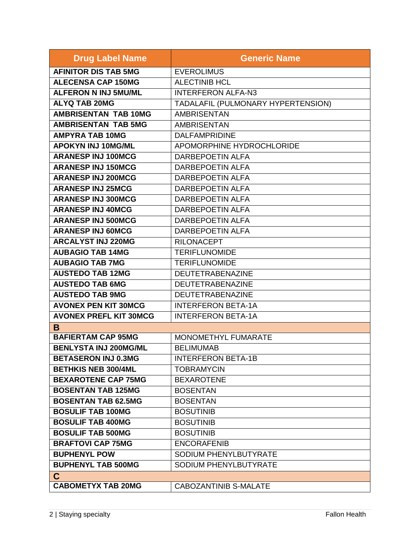| <b>Drug Label Name</b>        | <b>Generic Name</b>                |
|-------------------------------|------------------------------------|
| <b>AFINITOR DIS TAB 5MG</b>   | <b>EVEROLIMUS</b>                  |
| <b>ALECENSA CAP 150MG</b>     | <b>ALECTINIB HCL</b>               |
| <b>ALFERON N INJ 5MU/ML</b>   | <b>INTERFERON ALFA-N3</b>          |
| <b>ALYQ TAB 20MG</b>          | TADALAFIL (PULMONARY HYPERTENSION) |
| <b>AMBRISENTAN TAB 10MG</b>   | <b>AMBRISENTAN</b>                 |
| <b>AMBRISENTAN TAB 5MG</b>    | <b>AMBRISENTAN</b>                 |
| <b>AMPYRA TAB 10MG</b>        | <b>DALFAMPRIDINE</b>               |
| <b>APOKYN INJ 10MG/ML</b>     | APOMORPHINE HYDROCHLORIDE          |
| <b>ARANESP INJ 100MCG</b>     | <b>DARBEPOETIN ALFA</b>            |
| <b>ARANESP INJ 150MCG</b>     | <b>DARBEPOETIN ALFA</b>            |
| <b>ARANESP INJ 200MCG</b>     | <b>DARBEPOETIN ALFA</b>            |
| <b>ARANESP INJ 25MCG</b>      | <b>DARBEPOETIN ALFA</b>            |
| <b>ARANESP INJ 300MCG</b>     | <b>DARBEPOETIN ALFA</b>            |
| <b>ARANESP INJ 40MCG</b>      | <b>DARBEPOETIN ALFA</b>            |
| <b>ARANESP INJ 500MCG</b>     | <b>DARBEPOETIN ALFA</b>            |
| <b>ARANESP INJ 60MCG</b>      | <b>DARBEPOETIN ALFA</b>            |
| <b>ARCALYST INJ 220MG</b>     | <b>RILONACEPT</b>                  |
| <b>AUBAGIO TAB 14MG</b>       | <b>TERIFLUNOMIDE</b>               |
| <b>AUBAGIO TAB 7MG</b>        | <b>TERIFLUNOMIDE</b>               |
| <b>AUSTEDO TAB 12MG</b>       | <b>DEUTETRABENAZINE</b>            |
| <b>AUSTEDO TAB 6MG</b>        | <b>DEUTETRABENAZINE</b>            |
| <b>AUSTEDO TAB 9MG</b>        | DEUTETRABENAZINE                   |
| <b>AVONEX PEN KIT 30MCG</b>   | <b>INTERFERON BETA-1A</b>          |
| <b>AVONEX PREFL KIT 30MCG</b> | <b>INTERFERON BETA-1A</b>          |
| B                             |                                    |
| <b>BAFIERTAM CAP 95MG</b>     | MONOMETHYL FUMARATE                |
| <b>BENLYSTA INJ 200MG/ML</b>  | <b>BELIMUMAB</b>                   |
| <b>BETASERON INJ 0.3MG</b>    | <b>INTERFERON BETA-1B</b>          |
| <b>BETHKIS NEB 300/4ML</b>    | <b>TOBRAMYCIN</b>                  |
| <b>BEXAROTENE CAP 75MG</b>    | <b>BEXAROTENE</b>                  |
| <b>BOSENTAN TAB 125MG</b>     | <b>BOSENTAN</b>                    |
| <b>BOSENTAN TAB 62.5MG</b>    | <b>BOSENTAN</b>                    |
| <b>BOSULIF TAB 100MG</b>      | <b>BOSUTINIB</b>                   |
| <b>BOSULIF TAB 400MG</b>      | <b>BOSUTINIB</b>                   |
| <b>BOSULIF TAB 500MG</b>      | <b>BOSUTINIB</b>                   |
| <b>BRAFTOVI CAP 75MG</b>      | <b>ENCORAFENIB</b>                 |
| <b>BUPHENYL POW</b>           | SODIUM PHENYLBUTYRATE              |
| <b>BUPHENYL TAB 500MG</b>     | SODIUM PHENYLBUTYRATE              |
| $\mathbf C$                   |                                    |
| <b>CABOMETYX TAB 20MG</b>     | <b>CABOZANTINIB S-MALATE</b>       |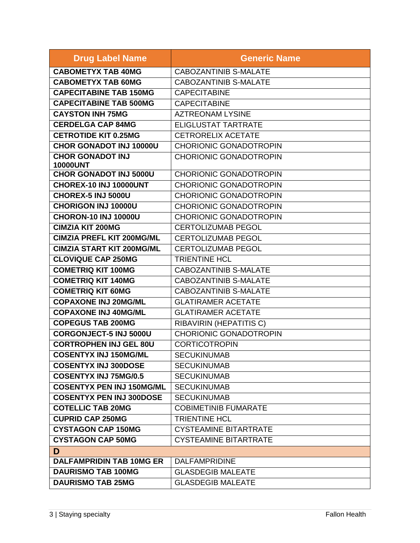| <b>Drug Label Name</b>                     | <b>Generic Name</b>           |
|--------------------------------------------|-------------------------------|
| <b>CABOMETYX TAB 40MG</b>                  | <b>CABOZANTINIB S-MALATE</b>  |
| <b>CABOMETYX TAB 60MG</b>                  | <b>CABOZANTINIB S-MALATE</b>  |
| <b>CAPECITABINE TAB 150MG</b>              | <b>CAPECITABINE</b>           |
| <b>CAPECITABINE TAB 500MG</b>              | <b>CAPECITABINE</b>           |
| <b>CAYSTON INH 75MG</b>                    | <b>AZTREONAM LYSINE</b>       |
| <b>CERDELGA CAP 84MG</b>                   | <b>ELIGLUSTAT TARTRATE</b>    |
| <b>CETROTIDE KIT 0.25MG</b>                | <b>CETRORELIX ACETATE</b>     |
| <b>CHOR GONADOT INJ 10000U</b>             | <b>CHORIONIC GONADOTROPIN</b> |
| <b>CHOR GONADOT INJ</b><br><b>10000UNT</b> | <b>CHORIONIC GONADOTROPIN</b> |
| <b>CHOR GONADOT INJ 5000U</b>              | <b>CHORIONIC GONADOTROPIN</b> |
| CHOREX-10 INJ 10000UNT                     | <b>CHORIONIC GONADOTROPIN</b> |
| CHOREX-5 INJ 5000U                         | <b>CHORIONIC GONADOTROPIN</b> |
| <b>CHORIGON INJ 10000U</b>                 | <b>CHORIONIC GONADOTROPIN</b> |
| <b>CHORON-10 INJ 10000U</b>                | <b>CHORIONIC GONADOTROPIN</b> |
| <b>CIMZIA KIT 200MG</b>                    | <b>CERTOLIZUMAB PEGOL</b>     |
| <b>CIMZIA PREFL KIT 200MG/ML</b>           | <b>CERTOLIZUMAB PEGOL</b>     |
| <b>CIMZIA START KIT 200MG/ML</b>           | <b>CERTOLIZUMAB PEGOL</b>     |
| <b>CLOVIQUE CAP 250MG</b>                  | <b>TRIENTINE HCL</b>          |
| <b>COMETRIQ KIT 100MG</b>                  | <b>CABOZANTINIB S-MALATE</b>  |
| <b>COMETRIQ KIT 140MG</b>                  | <b>CABOZANTINIB S-MALATE</b>  |
| <b>COMETRIQ KIT 60MG</b>                   | <b>CABOZANTINIB S-MALATE</b>  |
| <b>COPAXONE INJ 20MG/ML</b>                | <b>GLATIRAMER ACETATE</b>     |
| <b>COPAXONE INJ 40MG/ML</b>                | <b>GLATIRAMER ACETATE</b>     |
| <b>COPEGUS TAB 200MG</b>                   | RIBAVIRIN (HEPATITIS C)       |
| <b>CORGONJECT-5 INJ 5000U</b>              | <b>CHORIONIC GONADOTROPIN</b> |
| <b>CORTROPHEN INJ GEL 80U</b>              | <b>CORTICOTROPIN</b>          |
| <b>COSENTYX INJ 150MG/ML</b>               | <b>SECUKINUMAB</b>            |
| <b>COSENTYX INJ 300DOSE</b>                | <b>SECUKINUMAB</b>            |
| <b>COSENTYX INJ 75MG/0.5</b>               | <b>SECUKINUMAB</b>            |
| <b>COSENTYX PEN INJ 150MG/ML</b>           | <b>SECUKINUMAB</b>            |
| <b>COSENTYX PEN INJ 300DOSE</b>            | <b>SECUKINUMAB</b>            |
| <b>COTELLIC TAB 20MG</b>                   | <b>COBIMETINIB FUMARATE</b>   |
| <b>CUPRID CAP 250MG</b>                    | <b>TRIENTINE HCL</b>          |
| <b>CYSTAGON CAP 150MG</b>                  | <b>CYSTEAMINE BITARTRATE</b>  |
| <b>CYSTAGON CAP 50MG</b>                   | <b>CYSTEAMINE BITARTRATE</b>  |
| D                                          |                               |
| <b>DALFAMPRIDIN TAB 10MG ER</b>            | <b>DALFAMPRIDINE</b>          |
| <b>DAURISMO TAB 100MG</b>                  | <b>GLASDEGIB MALEATE</b>      |
| <b>DAURISMO TAB 25MG</b>                   | <b>GLASDEGIB MALEATE</b>      |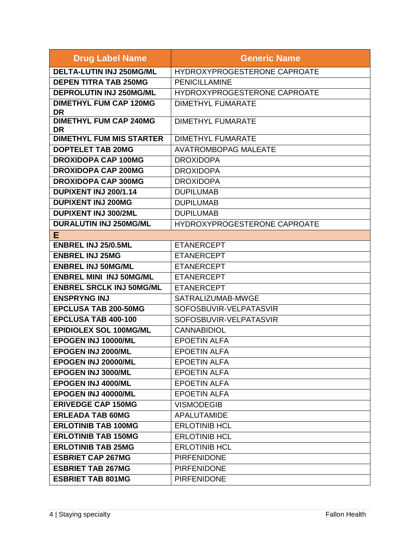| <b>Drug Label Name</b>                     | <b>Generic Name</b>                 |
|--------------------------------------------|-------------------------------------|
| <b>DELTA-LUTIN INJ 250MG/ML</b>            | HYDROXYPROGESTERONE CAPROATE        |
| <b>DEPEN TITRA TAB 250MG</b>               | <b>PENICILLAMINE</b>                |
| <b>DEPROLUTIN INJ 250MG/ML</b>             | HYDROXYPROGESTERONE CAPROATE        |
| <b>DIMETHYL FUM CAP 120MG</b><br>DR        | <b>DIMETHYL FUMARATE</b>            |
| <b>DIMETHYL FUM CAP 240MG</b><br><b>DR</b> | <b>DIMETHYL FUMARATE</b>            |
| <b>DIMETHYL FUM MIS STARTER</b>            | <b>DIMETHYL FUMARATE</b>            |
| <b>DOPTELET TAB 20MG</b>                   | <b>AVATROMBOPAG MALEATE</b>         |
| <b>DROXIDOPA CAP 100MG</b>                 | <b>DROXIDOPA</b>                    |
| <b>DROXIDOPA CAP 200MG</b>                 | <b>DROXIDOPA</b>                    |
| <b>DROXIDOPA CAP 300MG</b>                 | <b>DROXIDOPA</b>                    |
| <b>DUPIXENT INJ 200/1.14</b>               | <b>DUPILUMAB</b>                    |
| <b>DUPIXENT INJ 200MG</b>                  | <b>DUPILUMAB</b>                    |
| <b>DUPIXENT INJ 300/2ML</b>                | <b>DUPILUMAB</b>                    |
| <b>DURALUTIN INJ 250MG/ML</b>              | <b>HYDROXYPROGESTERONE CAPROATE</b> |
| E                                          |                                     |
| <b>ENBREL INJ 25/0.5ML</b>                 | <b>ETANERCEPT</b>                   |
| <b>ENBREL INJ 25MG</b>                     | <b>ETANERCEPT</b>                   |
| <b>ENBREL INJ 50MG/ML</b>                  | <b>ETANERCEPT</b>                   |
| <b>ENBREL MINI INJ 50MG/ML</b>             | <b>ETANERCEPT</b>                   |
| <b>ENBREL SRCLK INJ 50MG/ML</b>            | <b>ETANERCEPT</b>                   |
| <b>ENSPRYNG INJ</b>                        | SATRALIZUMAB-MWGE                   |
| <b>EPCLUSA TAB 200-50MG</b>                | SOFOSBUVIR-VELPATASVIR              |
| EPCLUSA TAB 400-100                        | SOFOSBUVIR-VELPATASVIR              |
| <b>EPIDIOLEX SOL 100MG/ML</b>              | <b>CANNABIDIOL</b>                  |
| EPOGEN INJ 10000/ML                        | <b>EPOETIN ALFA</b>                 |
| EPOGEN INJ 2000/ML                         | <b>EPOETIN ALFA</b>                 |
| EPOGEN INJ 20000/ML                        | <b>EPOETIN ALFA</b>                 |
| EPOGEN INJ 3000/ML                         | <b>EPOETIN ALFA</b>                 |
| EPOGEN INJ 4000/ML                         | <b>EPOETIN ALFA</b>                 |
| EPOGEN INJ 40000/ML                        | <b>EPOETIN ALFA</b>                 |
| <b>ERIVEDGE CAP 150MG</b>                  | <b>VISMODEGIB</b>                   |
| <b>ERLEADA TAB 60MG</b>                    | <b>APALUTAMIDE</b>                  |
| <b>ERLOTINIB TAB 100MG</b>                 | <b>ERLOTINIB HCL</b>                |
| <b>ERLOTINIB TAB 150MG</b>                 | <b>ERLOTINIB HCL</b>                |
| <b>ERLOTINIB TAB 25MG</b>                  | <b>ERLOTINIB HCL</b>                |
| <b>ESBRIET CAP 267MG</b>                   | <b>PIRFENIDONE</b>                  |
| <b>ESBRIET TAB 267MG</b>                   | <b>PIRFENIDONE</b>                  |
| <b>ESBRIET TAB 801MG</b>                   | <b>PIRFENIDONE</b>                  |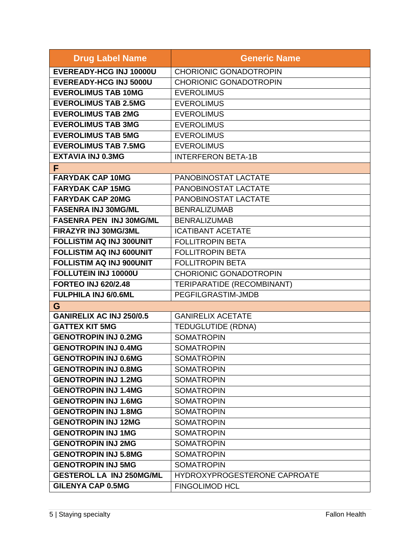| <b>Drug Label Name</b>          | <b>Generic Name</b>           |
|---------------------------------|-------------------------------|
| EVEREADY-HCG INJ 10000U         | <b>CHORIONIC GONADOTROPIN</b> |
| <b>EVEREADY-HCG INJ 5000U</b>   | <b>CHORIONIC GONADOTROPIN</b> |
| <b>EVEROLIMUS TAB 10MG</b>      | <b>EVEROLIMUS</b>             |
| <b>EVEROLIMUS TAB 2.5MG</b>     | <b>EVEROLIMUS</b>             |
| <b>EVEROLIMUS TAB 2MG</b>       | <b>EVEROLIMUS</b>             |
| <b>EVEROLIMUS TAB 3MG</b>       | <b>EVEROLIMUS</b>             |
| <b>EVEROLIMUS TAB 5MG</b>       | <b>EVEROLIMUS</b>             |
| <b>EVEROLIMUS TAB 7.5MG</b>     | <b>EVEROLIMUS</b>             |
| <b>EXTAVIA INJ 0.3MG</b>        | <b>INTERFERON BETA-1B</b>     |
| F                               |                               |
| <b>FARYDAK CAP 10MG</b>         | PANOBINOSTAT LACTATE          |
| <b>FARYDAK CAP 15MG</b>         | PANOBINOSTAT LACTATE          |
| <b>FARYDAK CAP 20MG</b>         | PANOBINOSTAT LACTATE          |
| <b>FASENRA INJ 30MG/ML</b>      | <b>BENRALIZUMAB</b>           |
| <b>FASENRA PEN INJ 30MG/ML</b>  | <b>BENRALIZUMAB</b>           |
| FIRAZYR INJ 30MG/3ML            | <b>ICATIBANT ACETATE</b>      |
| <b>FOLLISTIM AQ INJ 300UNIT</b> | <b>FOLLITROPIN BETA</b>       |
| <b>FOLLISTIM AQ INJ 600UNIT</b> | <b>FOLLITROPIN BETA</b>       |
| <b>FOLLISTIM AQ INJ 900UNIT</b> | <b>FOLLITROPIN BETA</b>       |
| FOLLUTEIN INJ 10000U            | <b>CHORIONIC GONADOTROPIN</b> |
| <b>FORTEO INJ 620/2.48</b>      | TERIPARATIDE (RECOMBINANT)    |
| <b>FULPHILA INJ 6/0.6ML</b>     | PEGFILGRASTIM-JMDB            |
| G                               |                               |
| <b>GANIRELIX AC INJ 250/0.5</b> | <b>GANIRELIX ACETATE</b>      |
| <b>GATTEX KIT 5MG</b>           | <b>TEDUGLUTIDE (RDNA)</b>     |
| <b>GENOTROPIN INJ 0.2MG</b>     | <b>SOMATROPIN</b>             |
| <b>GENOTROPIN INJ 0.4MG</b>     | <b>SOMATROPIN</b>             |
| <b>GENOTROPIN INJ 0.6MG</b>     | <b>SOMATROPIN</b>             |
| <b>GENOTROPIN INJ 0.8MG</b>     | <b>SOMATROPIN</b>             |
| <b>GENOTROPIN INJ 1.2MG</b>     | <b>SOMATROPIN</b>             |
| <b>GENOTROPIN INJ 1.4MG</b>     | <b>SOMATROPIN</b>             |
| <b>GENOTROPIN INJ 1.6MG</b>     | <b>SOMATROPIN</b>             |
| <b>GENOTROPIN INJ 1.8MG</b>     | <b>SOMATROPIN</b>             |
| <b>GENOTROPIN INJ 12MG</b>      | <b>SOMATROPIN</b>             |
| <b>GENOTROPIN INJ 1MG</b>       | <b>SOMATROPIN</b>             |
| <b>GENOTROPIN INJ 2MG</b>       | <b>SOMATROPIN</b>             |
| <b>GENOTROPIN INJ 5.8MG</b>     | <b>SOMATROPIN</b>             |
| <b>GENOTROPIN INJ 5MG</b>       | <b>SOMATROPIN</b>             |
| <b>GESTEROL LA INJ 250MG/ML</b> | HYDROXYPROGESTERONE CAPROATE  |
| <b>GILENYA CAP 0.5MG</b>        | <b>FINGOLIMOD HCL</b>         |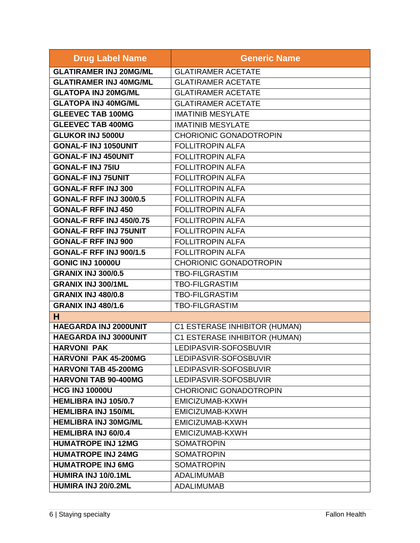| <b>Drug Label Name</b>          | <b>Generic Name</b>           |
|---------------------------------|-------------------------------|
| <b>GLATIRAMER INJ 20MG/ML</b>   | <b>GLATIRAMER ACETATE</b>     |
| <b>GLATIRAMER INJ 40MG/ML</b>   | <b>GLATIRAMER ACETATE</b>     |
| <b>GLATOPA INJ 20MG/ML</b>      | <b>GLATIRAMER ACETATE</b>     |
| <b>GLATOPA INJ 40MG/ML</b>      | <b>GLATIRAMER ACETATE</b>     |
| <b>GLEEVEC TAB 100MG</b>        | <b>IMATINIB MESYLATE</b>      |
| <b>GLEEVEC TAB 400MG</b>        | <b>IMATINIB MESYLATE</b>      |
| <b>GLUKOR INJ 5000U</b>         | <b>CHORIONIC GONADOTROPIN</b> |
| <b>GONAL-F INJ 1050UNIT</b>     | <b>FOLLITROPIN ALFA</b>       |
| <b>GONAL-F INJ 450UNIT</b>      | <b>FOLLITROPIN ALFA</b>       |
| <b>GONAL-F INJ 75IU</b>         | <b>FOLLITROPIN ALFA</b>       |
| <b>GONAL-F INJ 75UNIT</b>       | <b>FOLLITROPIN ALFA</b>       |
| <b>GONAL-F RFF INJ 300</b>      | <b>FOLLITROPIN ALFA</b>       |
| <b>GONAL-F RFF INJ 300/0.5</b>  | <b>FOLLITROPIN ALFA</b>       |
| <b>GONAL-F RFF INJ 450</b>      | <b>FOLLITROPIN ALFA</b>       |
| <b>GONAL-F RFF INJ 450/0.75</b> | <b>FOLLITROPIN ALFA</b>       |
| <b>GONAL-F RFF INJ 75UNIT</b>   | <b>FOLLITROPIN ALFA</b>       |
| <b>GONAL-F RFF INJ 900</b>      | <b>FOLLITROPIN ALFA</b>       |
| <b>GONAL-F RFF INJ 900/1.5</b>  | <b>FOLLITROPIN ALFA</b>       |
| <b>GONIC INJ 10000U</b>         | <b>CHORIONIC GONADOTROPIN</b> |
| <b>GRANIX INJ 300/0.5</b>       | <b>TBO-FILGRASTIM</b>         |
| <b>GRANIX INJ 300/1ML</b>       | <b>TBO-FILGRASTIM</b>         |
| <b>GRANIX INJ 480/0.8</b>       | <b>TBO-FILGRASTIM</b>         |
| <b>GRANIX INJ 480/1.6</b>       | <b>TBO-FILGRASTIM</b>         |
| н                               |                               |
| HAEGARDA INJ 2000UNIT           | C1 ESTERASE INHIBITOR (HUMAN) |
| <b>HAEGARDA INJ 3000UNIT</b>    | C1 ESTERASE INHIBITOR (HUMAN) |
| <b>HARVONI PAK</b>              | LEDIPASVIR-SOFOSBUVIR         |
| <b>HARVONI PAK 45-200MG</b>     | LEDIPASVIR-SOFOSBUVIR         |
| <b>HARVONI TAB 45-200MG</b>     | LEDIPASVIR-SOFOSBUVIR         |
| <b>HARVONI TAB 90-400MG</b>     | LEDIPASVIR-SOFOSBUVIR         |
| <b>HCG INJ 10000U</b>           | <b>CHORIONIC GONADOTROPIN</b> |
| <b>HEMLIBRA INJ 105/0.7</b>     | EMICIZUMAB-KXWH               |
| <b>HEMLIBRA INJ 150/ML</b>      | EMICIZUMAB-KXWH               |
| <b>HEMLIBRA INJ 30MG/ML</b>     | EMICIZUMAB-KXWH               |
| <b>HEMLIBRA INJ 60/0.4</b>      | EMICIZUMAB-KXWH               |
| <b>HUMATROPE INJ 12MG</b>       | <b>SOMATROPIN</b>             |
| <b>HUMATROPE INJ 24MG</b>       | <b>SOMATROPIN</b>             |
| <b>HUMATROPE INJ 6MG</b>        | <b>SOMATROPIN</b>             |
| HUMIRA INJ 10/0.1ML             | <b>ADALIMUMAB</b>             |
| HUMIRA INJ 20/0.2ML             | <b>ADALIMUMAB</b>             |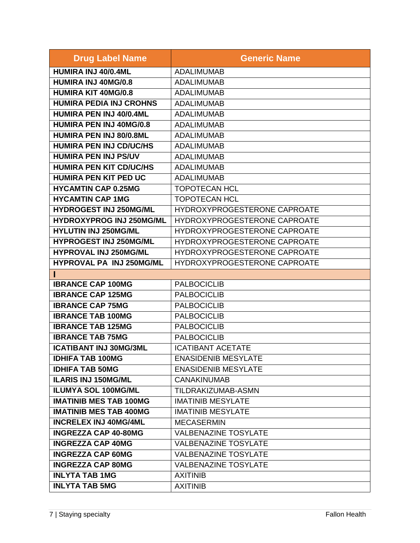| <b>Drug Label Name</b>          | <b>Generic Name</b>          |
|---------------------------------|------------------------------|
| HUMIRA INJ 40/0.4ML             | <b>ADALIMUMAB</b>            |
| <b>HUMIRA INJ 40MG/0.8</b>      | <b>ADALIMUMAB</b>            |
| <b>HUMIRA KIT 40MG/0.8</b>      | <b>ADALIMUMAB</b>            |
| <b>HUMIRA PEDIA INJ CROHNS</b>  | <b>ADALIMUMAB</b>            |
| <b>HUMIRA PEN INJ 40/0.4ML</b>  | <b>ADALIMUMAB</b>            |
| <b>HUMIRA PEN INJ 40MG/0.8</b>  | <b>ADALIMUMAB</b>            |
| HUMIRA PEN INJ 80/0.8ML         | <b>ADALIMUMAB</b>            |
| <b>HUMIRA PEN INJ CD/UC/HS</b>  | <b>ADALIMUMAB</b>            |
| <b>HUMIRA PEN INJ PS/UV</b>     | <b>ADALIMUMAB</b>            |
| <b>HUMIRA PEN KIT CD/UC/HS</b>  | <b>ADALIMUMAB</b>            |
| <b>HUMIRA PEN KIT PED UC</b>    | <b>ADALIMUMAB</b>            |
| <b>HYCAMTIN CAP 0.25MG</b>      | <b>TOPOTECAN HCL</b>         |
| <b>HYCAMTIN CAP 1MG</b>         | <b>TOPOTECAN HCL</b>         |
| <b>HYDROGEST INJ 250MG/ML</b>   | HYDROXYPROGESTERONE CAPROATE |
| <b>HYDROXYPROG INJ 250MG/ML</b> | HYDROXYPROGESTERONE CAPROATE |
| <b>HYLUTIN INJ 250MG/ML</b>     | HYDROXYPROGESTERONE CAPROATE |
| <b>HYPROGEST INJ 250MG/ML</b>   | HYDROXYPROGESTERONE CAPROATE |
| <b>HYPROVAL INJ 250MG/ML</b>    | HYDROXYPROGESTERONE CAPROATE |
| HYPROVAL PA INJ 250MG/ML        | HYDROXYPROGESTERONE CAPROATE |
|                                 |                              |
| <b>IBRANCE CAP 100MG</b>        | <b>PALBOCICLIB</b>           |
| <b>IBRANCE CAP 125MG</b>        | <b>PALBOCICLIB</b>           |
| <b>IBRANCE CAP 75MG</b>         | <b>PALBOCICLIB</b>           |
| <b>IBRANCE TAB 100MG</b>        | <b>PALBOCICLIB</b>           |
| <b>IBRANCE TAB 125MG</b>        | <b>PALBOCICLIB</b>           |
| <b>IBRANCE TAB 75MG</b>         | <b>PALBOCICLIB</b>           |
| <b>ICATIBANT INJ 30MG/3ML</b>   | <b>ICATIBANT ACETATE</b>     |
| <b>IDHIFA TAB 100MG</b>         | <b>ENASIDENIB MESYLATE</b>   |
| <b>IDHIFA TAB 50MG</b>          | <b>ENASIDENIB MESYLATE</b>   |
| <b>ILARIS INJ 150MG/ML</b>      | <b>CANAKINUMAB</b>           |
| <b>ILUMYA SOL 100MG/ML</b>      | TILDRAKIZUMAB-ASMN           |
| <b>IMATINIB MES TAB 100MG</b>   | <b>IMATINIB MESYLATE</b>     |
| <b>IMATINIB MES TAB 400MG</b>   | <b>IMATINIB MESYLATE</b>     |
| <b>INCRELEX INJ 40MG/4ML</b>    | <b>MECASERMIN</b>            |
| <b>INGREZZA CAP 40-80MG</b>     | <b>VALBENAZINE TOSYLATE</b>  |
| <b>INGREZZA CAP 40MG</b>        | <b>VALBENAZINE TOSYLATE</b>  |
| <b>INGREZZA CAP 60MG</b>        | <b>VALBENAZINE TOSYLATE</b>  |
| <b>INGREZZA CAP 80MG</b>        | <b>VALBENAZINE TOSYLATE</b>  |
| <b>INLYTA TAB 1MG</b>           | <b>AXITINIB</b>              |
| <b>INLYTA TAB 5MG</b>           | <b>AXITINIB</b>              |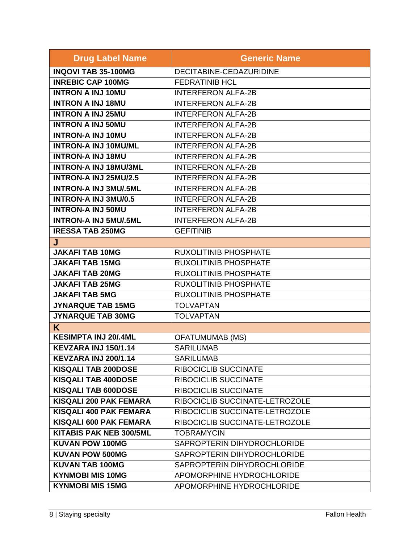| <b>Drug Label Name</b>         | <b>Generic Name</b>            |
|--------------------------------|--------------------------------|
| <b>INQOVI TAB 35-100MG</b>     | DECITABINE-CEDAZURIDINE        |
| <b>INREBIC CAP 100MG</b>       | <b>FEDRATINIB HCL</b>          |
| <b>INTRON A INJ 10MU</b>       | <b>INTERFERON ALFA-2B</b>      |
| <b>INTRON A INJ 18MU</b>       | <b>INTERFERON ALFA-2B</b>      |
| <b>INTRON A INJ 25MU</b>       | <b>INTERFERON ALFA-2B</b>      |
| <b>INTRON A INJ 50MU</b>       | <b>INTERFERON ALFA-2B</b>      |
| <b>INTRON-A INJ 10MU</b>       | <b>INTERFERON ALFA-2B</b>      |
| <b>INTRON-A INJ 10MU/ML</b>    | <b>INTERFERON ALFA-2B</b>      |
| <b>INTRON-A INJ 18MU</b>       | <b>INTERFERON ALFA-2B</b>      |
| <b>INTRON-A INJ 18MU/3ML</b>   | <b>INTERFERON ALFA-2B</b>      |
| <b>INTRON-A INJ 25MU/2.5</b>   | <b>INTERFERON ALFA-2B</b>      |
| <b>INTRON-A INJ 3MU/.5ML</b>   | <b>INTERFERON ALFA-2B</b>      |
| <b>INTRON-A INJ 3MU/0.5</b>    | <b>INTERFERON ALFA-2B</b>      |
| <b>INTRON-A INJ 50MU</b>       | <b>INTERFERON ALFA-2B</b>      |
| <b>INTRON-A INJ 5MU/.5ML</b>   | <b>INTERFERON ALFA-2B</b>      |
| <b>IRESSA TAB 250MG</b>        | <b>GEFITINIB</b>               |
| J                              |                                |
| <b>JAKAFI TAB 10MG</b>         | <b>RUXOLITINIB PHOSPHATE</b>   |
| <b>JAKAFI TAB 15MG</b>         | <b>RUXOLITINIB PHOSPHATE</b>   |
| <b>JAKAFI TAB 20MG</b>         | <b>RUXOLITINIB PHOSPHATE</b>   |
| <b>JAKAFI TAB 25MG</b>         | <b>RUXOLITINIB PHOSPHATE</b>   |
| <b>JAKAFI TAB 5MG</b>          | <b>RUXOLITINIB PHOSPHATE</b>   |
| <b>JYNARQUE TAB 15MG</b>       | <b>TOLVAPTAN</b>               |
| <b>JYNARQUE TAB 30MG</b>       | <b>TOLVAPTAN</b>               |
| K                              |                                |
| <b>KESIMPTA INJ 20/.4ML</b>    | <b>OFATUMUMAB (MS)</b>         |
| KEVZARA INJ 150/1.14           | <b>SARILUMAB</b>               |
| <b>KEVZARA INJ 200/1.14</b>    | <b>SARILUMAB</b>               |
| <b>KISQALI TAB 200DOSE</b>     | RIBOCICLIB SUCCINATE           |
| <b>KISQALI TAB 400DOSE</b>     | <b>RIBOCICLIB SUCCINATE</b>    |
| <b>KISQALI TAB 600DOSE</b>     | RIBOCICLIB SUCCINATE           |
| <b>KISQALI 200 PAK FEMARA</b>  | RIBOCICLIB SUCCINATE-LETROZOLE |
| <b>KISQALI 400 PAK FEMARA</b>  | RIBOCICLIB SUCCINATE-LETROZOLE |
| <b>KISQALI 600 PAK FEMARA</b>  | RIBOCICLIB SUCCINATE-LETROZOLE |
| <b>KITABIS PAK NEB 300/5ML</b> | <b>TOBRAMYCIN</b>              |
| <b>KUVAN POW 100MG</b>         | SAPROPTERIN DIHYDROCHLORIDE    |
| <b>KUVAN POW 500MG</b>         | SAPROPTERIN DIHYDROCHLORIDE    |
| <b>KUVAN TAB 100MG</b>         | SAPROPTERIN DIHYDROCHLORIDE    |
| <b>KYNMOBI MIS 10MG</b>        | APOMORPHINE HYDROCHLORIDE      |
| <b>KYNMOBI MIS 15MG</b>        | APOMORPHINE HYDROCHLORIDE      |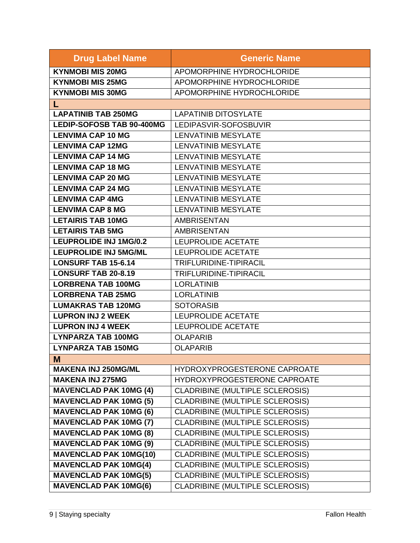| <b>Drug Label Name</b>           | <b>Generic Name</b>                    |
|----------------------------------|----------------------------------------|
| <b>KYNMOBI MIS 20MG</b>          | APOMORPHINE HYDROCHLORIDE              |
| <b>KYNMOBI MIS 25MG</b>          | APOMORPHINE HYDROCHLORIDE              |
| <b>KYNMOBI MIS 30MG</b>          | APOMORPHINE HYDROCHLORIDE              |
|                                  |                                        |
| <b>LAPATINIB TAB 250MG</b>       | <b>LAPATINIB DITOSYLATE</b>            |
| <b>LEDIP-SOFOSB TAB 90-400MG</b> | LEDIPASVIR-SOFOSBUVIR                  |
| <b>LENVIMA CAP 10 MG</b>         | <b>LENVATINIB MESYLATE</b>             |
| <b>LENVIMA CAP 12MG</b>          | <b>LENVATINIB MESYLATE</b>             |
| <b>LENVIMA CAP 14 MG</b>         | <b>LENVATINIB MESYLATE</b>             |
| <b>LENVIMA CAP 18 MG</b>         | <b>LENVATINIB MESYLATE</b>             |
| <b>LENVIMA CAP 20 MG</b>         | <b>LENVATINIB MESYLATE</b>             |
| <b>LENVIMA CAP 24 MG</b>         | <b>LENVATINIB MESYLATE</b>             |
| <b>LENVIMA CAP 4MG</b>           | <b>LENVATINIB MESYLATE</b>             |
| <b>LENVIMA CAP 8 MG</b>          | <b>LENVATINIB MESYLATE</b>             |
| <b>LETAIRIS TAB 10MG</b>         | <b>AMBRISENTAN</b>                     |
| <b>LETAIRIS TAB 5MG</b>          | <b>AMBRISENTAN</b>                     |
| <b>LEUPROLIDE INJ 1MG/0.2</b>    | <b>LEUPROLIDE ACETATE</b>              |
| <b>LEUPROLIDE INJ 5MG/ML</b>     | <b>LEUPROLIDE ACETATE</b>              |
| <b>LONSURF TAB 15-6.14</b>       | TRIFLURIDINE-TIPIRACIL                 |
| <b>LONSURF TAB 20-8.19</b>       | TRIFLURIDINE-TIPIRACIL                 |
| <b>LORBRENA TAB 100MG</b>        | <b>LORLATINIB</b>                      |
| <b>LORBRENA TAB 25MG</b>         | <b>LORLATINIB</b>                      |
| <b>LUMAKRAS TAB 120MG</b>        | <b>SOTORASIB</b>                       |
| <b>LUPRON INJ 2 WEEK</b>         | <b>LEUPROLIDE ACETATE</b>              |
| <b>LUPRON INJ 4 WEEK</b>         | LEUPROLIDE ACETATE                     |
| <b>LYNPARZA TAB 100MG</b>        | <b>OLAPARIB</b>                        |
| <b>LYNPARZA TAB 150MG</b>        | <b>OLAPARIB</b>                        |
| M                                |                                        |
| <b>MAKENA INJ 250MG/ML</b>       | HYDROXYPROGESTERONE CAPROATE           |
| <b>MAKENA INJ 275MG</b>          | HYDROXYPROGESTERONE CAPROATE           |
| <b>MAVENCLAD PAK 10MG (4)</b>    | <b>CLADRIBINE (MULTIPLE SCLEROSIS)</b> |
| <b>MAVENCLAD PAK 10MG (5)</b>    | <b>CLADRIBINE (MULTIPLE SCLEROSIS)</b> |
| <b>MAVENCLAD PAK 10MG (6)</b>    | <b>CLADRIBINE (MULTIPLE SCLEROSIS)</b> |
| <b>MAVENCLAD PAK 10MG (7)</b>    | CLADRIBINE (MULTIPLE SCLEROSIS)        |
| <b>MAVENCLAD PAK 10MG (8)</b>    | <b>CLADRIBINE (MULTIPLE SCLEROSIS)</b> |
| <b>MAVENCLAD PAK 10MG (9)</b>    | CLADRIBINE (MULTIPLE SCLEROSIS)        |
| <b>MAVENCLAD PAK 10MG(10)</b>    | CLADRIBINE (MULTIPLE SCLEROSIS)        |
| <b>MAVENCLAD PAK 10MG(4)</b>     | <b>CLADRIBINE (MULTIPLE SCLEROSIS)</b> |
| <b>MAVENCLAD PAK 10MG(5)</b>     | <b>CLADRIBINE (MULTIPLE SCLEROSIS)</b> |
| <b>MAVENCLAD PAK 10MG(6)</b>     | CLADRIBINE (MULTIPLE SCLEROSIS)        |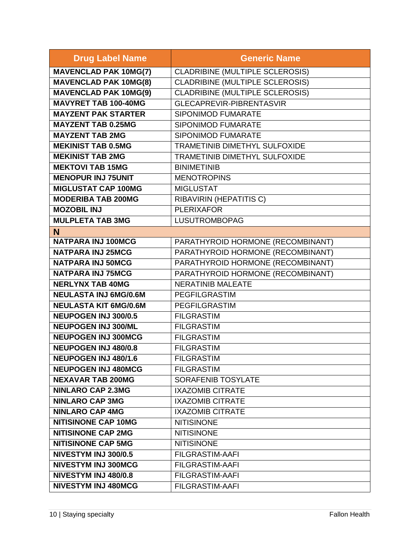| <b>Drug Label Name</b>       | <b>Generic Name</b>                    |
|------------------------------|----------------------------------------|
| <b>MAVENCLAD PAK 10MG(7)</b> | <b>CLADRIBINE (MULTIPLE SCLEROSIS)</b> |
| <b>MAVENCLAD PAK 10MG(8)</b> | <b>CLADRIBINE (MULTIPLE SCLEROSIS)</b> |
| <b>MAVENCLAD PAK 10MG(9)</b> | <b>CLADRIBINE (MULTIPLE SCLEROSIS)</b> |
| <b>MAVYRET TAB 100-40MG</b>  | <b>GLECAPREVIR-PIBRENTASVIR</b>        |
| <b>MAYZENT PAK STARTER</b>   | <b>SIPONIMOD FUMARATE</b>              |
| <b>MAYZENT TAB 0.25MG</b>    | <b>SIPONIMOD FUMARATE</b>              |
| <b>MAYZENT TAB 2MG</b>       | SIPONIMOD FUMARATE                     |
| <b>MEKINIST TAB 0.5MG</b>    | TRAMETINIB DIMETHYL SULFOXIDE          |
| <b>MEKINIST TAB 2MG</b>      | TRAMETINIB DIMETHYL SULFOXIDE          |
| <b>MEKTOVI TAB 15MG</b>      | <b>BINIMETINIB</b>                     |
| <b>MENOPUR INJ 75UNIT</b>    | <b>MENOTROPINS</b>                     |
| <b>MIGLUSTAT CAP 100MG</b>   | <b>MIGLUSTAT</b>                       |
| <b>MODERIBA TAB 200MG</b>    | RIBAVIRIN (HEPATITIS C)                |
| <b>MOZOBIL INJ</b>           | <b>PLERIXAFOR</b>                      |
| <b>MULPLETA TAB 3MG</b>      | LUSUTROMBOPAG                          |
| N                            |                                        |
| <b>NATPARA INJ 100MCG</b>    | PARATHYROID HORMONE (RECOMBINANT)      |
| <b>NATPARA INJ 25MCG</b>     | PARATHYROID HORMONE (RECOMBINANT)      |
| <b>NATPARA INJ 50MCG</b>     | PARATHYROID HORMONE (RECOMBINANT)      |
| <b>NATPARA INJ 75MCG</b>     | PARATHYROID HORMONE (RECOMBINANT)      |
| <b>NERLYNX TAB 40MG</b>      | <b>NERATINIB MALEATE</b>               |
| <b>NEULASTA INJ 6MG/0.6M</b> | PEGFILGRASTIM                          |
| <b>NEULASTA KIT 6MG/0.6M</b> | <b>PEGFILGRASTIM</b>                   |
| <b>NEUPOGEN INJ 300/0.5</b>  | <b>FILGRASTIM</b>                      |
| <b>NEUPOGEN INJ 300/ML</b>   | <b>FILGRASTIM</b>                      |
| <b>NEUPOGEN INJ 300MCG</b>   | <b>FILGRASTIM</b>                      |
| <b>NEUPOGEN INJ 480/0.8</b>  | <b>FILGRASTIM</b>                      |
| <b>NEUPOGEN INJ 480/1.6</b>  | <b>FILGRASTIM</b>                      |
| <b>NEUPOGEN INJ 480MCG</b>   | <b>FILGRASTIM</b>                      |
| <b>NEXAVAR TAB 200MG</b>     | <b>SORAFENIB TOSYLATE</b>              |
| <b>NINLARO CAP 2.3MG</b>     | <b>IXAZOMIB CITRATE</b>                |
| <b>NINLARO CAP 3MG</b>       | <b>IXAZOMIB CITRATE</b>                |
| <b>NINLARO CAP 4MG</b>       | <b>IXAZOMIB CITRATE</b>                |
| <b>NITISINONE CAP 10MG</b>   | <b>NITISINONE</b>                      |
| <b>NITISINONE CAP 2MG</b>    | <b>NITISINONE</b>                      |
| <b>NITISINONE CAP 5MG</b>    | <b>NITISINONE</b>                      |
| NIVESTYM INJ 300/0.5         | <b>FILGRASTIM-AAFI</b>                 |
| NIVESTYM INJ 300MCG          | <b>FILGRASTIM-AAFI</b>                 |
| NIVESTYM INJ 480/0.8         | <b>FILGRASTIM-AAFI</b>                 |
| <b>NIVESTYM INJ 480MCG</b>   | <b>FILGRASTIM-AAFI</b>                 |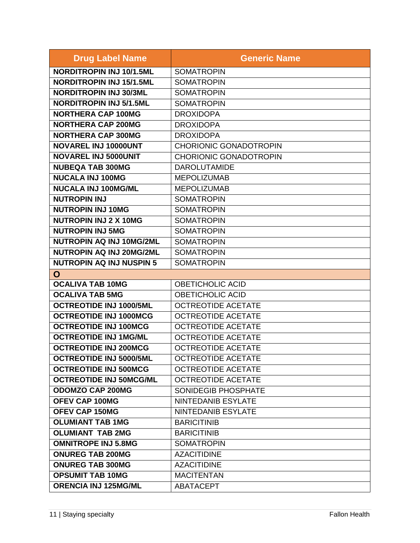| <b>Drug Label Name</b>          | <b>Generic Name</b>           |
|---------------------------------|-------------------------------|
| <b>NORDITROPIN INJ 10/1.5ML</b> | <b>SOMATROPIN</b>             |
| <b>NORDITROPIN INJ 15/1.5ML</b> | <b>SOMATROPIN</b>             |
| <b>NORDITROPIN INJ 30/3ML</b>   | <b>SOMATROPIN</b>             |
| <b>NORDITROPIN INJ 5/1.5ML</b>  | <b>SOMATROPIN</b>             |
| <b>NORTHERA CAP 100MG</b>       | <b>DROXIDOPA</b>              |
| <b>NORTHERA CAP 200MG</b>       | <b>DROXIDOPA</b>              |
| <b>NORTHERA CAP 300MG</b>       | <b>DROXIDOPA</b>              |
| NOVAREL INJ 10000UNT            | <b>CHORIONIC GONADOTROPIN</b> |
| <b>NOVAREL INJ 5000UNIT</b>     | <b>CHORIONIC GONADOTROPIN</b> |
| <b>NUBEQA TAB 300MG</b>         | <b>DAROLUTAMIDE</b>           |
| <b>NUCALA INJ 100MG</b>         | <b>MEPOLIZUMAB</b>            |
| <b>NUCALA INJ 100MG/ML</b>      | <b>MEPOLIZUMAB</b>            |
| <b>NUTROPIN INJ</b>             | <b>SOMATROPIN</b>             |
| <b>NUTROPIN INJ 10MG</b>        | <b>SOMATROPIN</b>             |
| <b>NUTROPIN INJ 2 X 10MG</b>    | <b>SOMATROPIN</b>             |
| <b>NUTROPIN INJ 5MG</b>         | <b>SOMATROPIN</b>             |
| NUTROPIN AQ INJ 10MG/2ML        | <b>SOMATROPIN</b>             |
| <b>NUTROPIN AQ INJ 20MG/2ML</b> | <b>SOMATROPIN</b>             |
| <b>NUTROPIN AQ INJ NUSPIN 5</b> | <b>SOMATROPIN</b>             |
| O                               |                               |
| <b>OCALIVA TAB 10MG</b>         | <b>OBETICHOLIC ACID</b>       |
| <b>OCALIVA TAB 5MG</b>          | <b>OBETICHOLIC ACID</b>       |
| <b>OCTREOTIDE INJ 1000/5ML</b>  | <b>OCTREOTIDE ACETATE</b>     |
| <b>OCTREOTIDE INJ 1000MCG</b>   | <b>OCTREOTIDE ACETATE</b>     |
| <b>OCTREOTIDE INJ 100MCG</b>    | <b>OCTREOTIDE ACETATE</b>     |
| <b>OCTREOTIDE INJ 1MG/ML</b>    | <b>OCTREOTIDE ACETATE</b>     |
| <b>OCTREOTIDE INJ 200MCG</b>    | <b>OCTREOTIDE ACETATE</b>     |
| <b>OCTREOTIDE INJ 5000/5ML</b>  | <b>OCTREOTIDE ACETATE</b>     |
| <b>OCTREOTIDE INJ 500MCG</b>    | <b>OCTREOTIDE ACETATE</b>     |
| <b>OCTREOTIDE INJ 50MCG/ML</b>  | <b>OCTREOTIDE ACETATE</b>     |
| <b>ODOMZO CAP 200MG</b>         | SONIDEGIB PHOSPHATE           |
| <b>OFEV CAP 100MG</b>           | <b>NINTEDANIB ESYLATE</b>     |
| OFEV CAP 150MG                  | <b>NINTEDANIB ESYLATE</b>     |
| <b>OLUMIANT TAB 1MG</b>         | <b>BARICITINIB</b>            |
| <b>OLUMIANT TAB 2MG</b>         | <b>BARICITINIB</b>            |
| <b>OMNITROPE INJ 5.8MG</b>      | <b>SOMATROPIN</b>             |
| <b>ONUREG TAB 200MG</b>         | <b>AZACITIDINE</b>            |
| <b>ONUREG TAB 300MG</b>         | <b>AZACITIDINE</b>            |
| <b>OPSUMIT TAB 10MG</b>         | <b>MACITENTAN</b>             |
| <b>ORENCIA INJ 125MG/ML</b>     | ABATACEPT                     |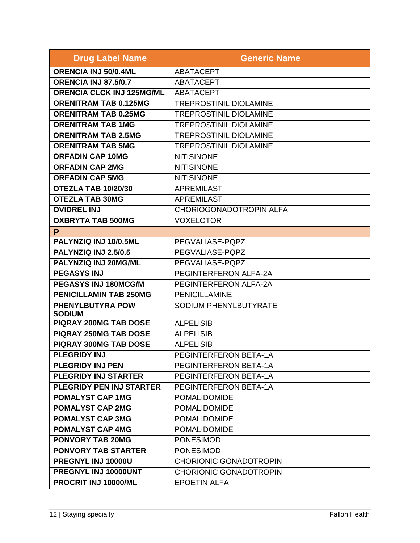| <b>Drug Label Name</b>                   | <b>Generic Name</b>            |
|------------------------------------------|--------------------------------|
| ORENCIA INJ 50/0.4ML                     | <b>ABATACEPT</b>               |
| <b>ORENCIA INJ 87.5/0.7</b>              | <b>ABATACEPT</b>               |
| <b>ORENCIA CLCK INJ 125MG/ML</b>         | <b>ABATACEPT</b>               |
| <b>ORENITRAM TAB 0.125MG</b>             | <b>TREPROSTINIL DIOLAMINE</b>  |
| <b>ORENITRAM TAB 0.25MG</b>              | <b>TREPROSTINIL DIOLAMINE</b>  |
| <b>ORENITRAM TAB 1MG</b>                 | <b>TREPROSTINIL DIOLAMINE</b>  |
| <b>ORENITRAM TAB 2.5MG</b>               | <b>TREPROSTINIL DIOLAMINE</b>  |
| <b>ORENITRAM TAB 5MG</b>                 | <b>TREPROSTINIL DIOLAMINE</b>  |
| <b>ORFADIN CAP 10MG</b>                  | <b>NITISINONE</b>              |
| <b>ORFADIN CAP 2MG</b>                   | <b>NITISINONE</b>              |
| <b>ORFADIN CAP 5MG</b>                   | <b>NITISINONE</b>              |
| OTEZLA TAB 10/20/30                      | <b>APREMILAST</b>              |
| <b>OTEZLA TAB 30MG</b>                   | <b>APREMILAST</b>              |
| <b>OVIDREL INJ</b>                       | <b>CHORIOGONADOTROPIN ALFA</b> |
| <b>OXBRYTA TAB 500MG</b>                 | <b>VOXELOTOR</b>               |
| P                                        |                                |
| PALYNZIQ INJ 10/0.5ML                    | PEGVALIASE-PQPZ                |
| PALYNZIQ INJ 2.5/0.5                     | PEGVALIASE-PQPZ                |
| PALYNZIQ INJ 20MG/ML                     | PEGVALIASE-PQPZ                |
| <b>PEGASYS INJ</b>                       | PEGINTERFERON ALFA-2A          |
| PEGASYS INJ 180MCG/M                     | PEGINTERFERON ALFA-2A          |
| <b>PENICILLAMIN TAB 250MG</b>            | <b>PENICILLAMINE</b>           |
| <b>PHENYLBUTYRA POW</b><br><b>SODIUM</b> | SODIUM PHENYLBUTYRATE          |
| <b>PIQRAY 200MG TAB DOSE</b>             | <b>ALPELISIB</b>               |
| <b>PIQRAY 250MG TAB DOSE</b>             | <b>ALPELISIB</b>               |
| PIQRAY 300MG TAB DOSE                    | <b>ALPELISIB</b>               |
| <b>PLEGRIDY INJ</b>                      | PEGINTERFERON BETA-1A          |
| <b>PLEGRIDY INJ PEN</b>                  | PEGINTERFERON BETA-1A          |
| <b>PLEGRIDY INJ STARTER</b>              | PEGINTERFERON BETA-1A          |
| <b>PLEGRIDY PEN INJ STARTER</b>          | PEGINTERFERON BETA-1A          |
| <b>POMALYST CAP 1MG</b>                  | <b>POMALIDOMIDE</b>            |
| <b>POMALYST CAP 2MG</b>                  | <b>POMALIDOMIDE</b>            |
| <b>POMALYST CAP 3MG</b>                  | <b>POMALIDOMIDE</b>            |
| <b>POMALYST CAP 4MG</b>                  | <b>POMALIDOMIDE</b>            |
| <b>PONVORY TAB 20MG</b>                  | <b>PONESIMOD</b>               |
| <b>PONVORY TAB STARTER</b>               | <b>PONESIMOD</b>               |
| PREGNYL INJ 10000U                       | <b>CHORIONIC GONADOTROPIN</b>  |
| PREGNYL INJ 10000UNT                     | <b>CHORIONIC GONADOTROPIN</b>  |
| PROCRIT INJ 10000/ML                     | <b>EPOETIN ALFA</b>            |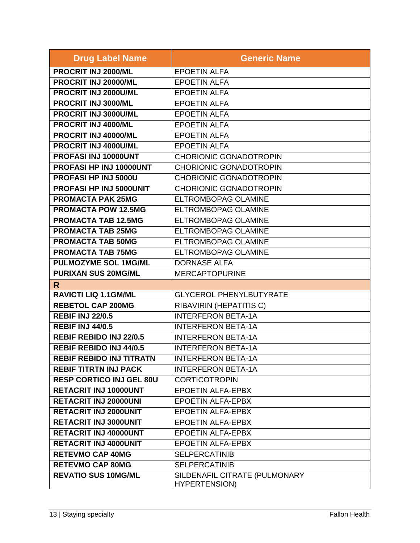| <b>Drug Label Name</b>          | <b>Generic Name</b>                                   |
|---------------------------------|-------------------------------------------------------|
| PROCRIT INJ 2000/ML             | <b>EPOETIN ALFA</b>                                   |
| PROCRIT INJ 20000/ML            | <b>EPOETIN ALFA</b>                                   |
| PROCRIT INJ 2000U/ML            | <b>EPOETIN ALFA</b>                                   |
| PROCRIT INJ 3000/ML             | <b>EPOETIN ALFA</b>                                   |
| PROCRIT INJ 3000U/ML            | <b>EPOETIN ALFA</b>                                   |
| PROCRIT INJ 4000/ML             | <b>EPOETIN ALFA</b>                                   |
| PROCRIT INJ 40000/ML            | <b>EPOETIN ALFA</b>                                   |
| PROCRIT INJ 4000U/ML            | <b>EPOETIN ALFA</b>                                   |
| PROFASI INJ 10000UNT            | <b>CHORIONIC GONADOTROPIN</b>                         |
| PROFASI HP INJ 10000UNT         | <b>CHORIONIC GONADOTROPIN</b>                         |
| PROFASI HP INJ 5000U            | <b>CHORIONIC GONADOTROPIN</b>                         |
| PROFASI HP INJ 5000UNIT         | <b>CHORIONIC GONADOTROPIN</b>                         |
| <b>PROMACTA PAK 25MG</b>        | <b>ELTROMBOPAG OLAMINE</b>                            |
| <b>PROMACTA POW 12.5MG</b>      | <b>ELTROMBOPAG OLAMINE</b>                            |
| <b>PROMACTA TAB 12.5MG</b>      | <b>ELTROMBOPAG OLAMINE</b>                            |
| <b>PROMACTA TAB 25MG</b>        | <b>ELTROMBOPAG OLAMINE</b>                            |
| <b>PROMACTA TAB 50MG</b>        | <b>ELTROMBOPAG OLAMINE</b>                            |
| <b>PROMACTA TAB 75MG</b>        | <b>ELTROMBOPAG OLAMINE</b>                            |
| <b>PULMOZYME SOL 1MG/ML</b>     | <b>DORNASE ALFA</b>                                   |
| <b>PURIXAN SUS 20MG/ML</b>      | <b>MERCAPTOPURINE</b>                                 |
| R.                              |                                                       |
| <b>RAVICTI LIQ 1.1GM/ML</b>     | <b>GLYCEROL PHENYLBUTYRATE</b>                        |
| <b>REBETOL CAP 200MG</b>        | RIBAVIRIN (HEPATITIS C)                               |
| <b>REBIF INJ 22/0.5</b>         | <b>INTERFERON BETA-1A</b>                             |
| <b>REBIF INJ 44/0.5</b>         | <b>INTERFERON BETA-1A</b>                             |
| <b>REBIF REBIDO INJ 22/0.5</b>  | <b>INTERFERON BETA-1A</b>                             |
| <b>REBIF REBIDO INJ 44/0.5</b>  | <b>INTERFERON BETA-1A</b>                             |
| <b>REBIF REBIDO INJ TITRATN</b> | <b>INTERFERON BETA-1A</b>                             |
| <b>REBIF TITRTN INJ PACK</b>    | <b>INTERFERON BETA-1A</b>                             |
| <b>RESP CORTICO INJ GEL 80U</b> | <b>CORTICOTROPIN</b>                                  |
| <b>RETACRIT INJ 10000UNT</b>    | <b>EPOETIN ALFA-EPBX</b>                              |
| <b>RETACRIT INJ 20000UNI</b>    | <b>EPOETIN ALFA-EPBX</b>                              |
| <b>RETACRIT INJ 2000UNIT</b>    | <b>EPOETIN ALFA-EPBX</b>                              |
| <b>RETACRIT INJ 3000UNIT</b>    | <b>EPOETIN ALFA-EPBX</b>                              |
| <b>RETACRIT INJ 40000UNT</b>    | <b>EPOETIN ALFA-EPBX</b>                              |
| <b>RETACRIT INJ 4000UNIT</b>    | <b>EPOETIN ALFA-EPBX</b>                              |
| <b>RETEVMO CAP 40MG</b>         | <b>SELPERCATINIB</b>                                  |
| <b>RETEVMO CAP 80MG</b>         | <b>SELPERCATINIB</b>                                  |
| <b>REVATIO SUS 10MG/ML</b>      | SILDENAFIL CITRATE (PULMONARY<br><b>HYPERTENSION)</b> |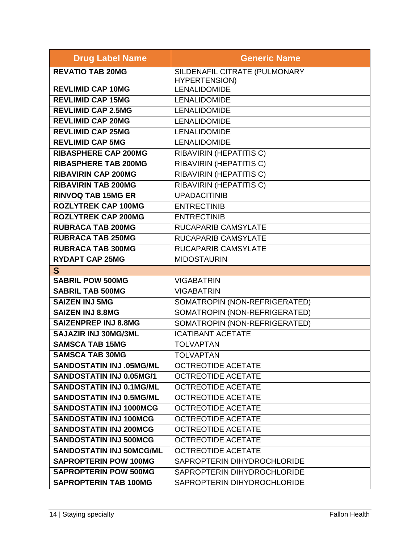| <b>Drug Label Name</b>          | <b>Generic Name</b>            |
|---------------------------------|--------------------------------|
| <b>REVATIO TAB 20MG</b>         | SILDENAFIL CITRATE (PULMONARY  |
|                                 | <b>HYPERTENSION)</b>           |
| <b>REVLIMID CAP 10MG</b>        | <b>LENALIDOMIDE</b>            |
| <b>REVLIMID CAP 15MG</b>        | <b>LENALIDOMIDE</b>            |
| <b>REVLIMID CAP 2.5MG</b>       | <b>LENALIDOMIDE</b>            |
| <b>REVLIMID CAP 20MG</b>        | <b>LENALIDOMIDE</b>            |
| <b>REVLIMID CAP 25MG</b>        | <b>LENALIDOMIDE</b>            |
| <b>REVLIMID CAP 5MG</b>         | <b>LENALIDOMIDE</b>            |
| <b>RIBASPHERE CAP 200MG</b>     | RIBAVIRIN (HEPATITIS C)        |
| <b>RIBASPHERE TAB 200MG</b>     | <b>RIBAVIRIN (HEPATITIS C)</b> |
| <b>RIBAVIRIN CAP 200MG</b>      | <b>RIBAVIRIN (HEPATITIS C)</b> |
| <b>RIBAVIRIN TAB 200MG</b>      | <b>RIBAVIRIN (HEPATITIS C)</b> |
| <b>RINVOQ TAB 15MG ER</b>       | <b>UPADACITINIB</b>            |
| <b>ROZLYTREK CAP 100MG</b>      | <b>ENTRECTINIB</b>             |
| <b>ROZLYTREK CAP 200MG</b>      | <b>ENTRECTINIB</b>             |
| <b>RUBRACA TAB 200MG</b>        | <b>RUCAPARIB CAMSYLATE</b>     |
| <b>RUBRACA TAB 250MG</b>        | <b>RUCAPARIB CAMSYLATE</b>     |
| <b>RUBRACA TAB 300MG</b>        | <b>RUCAPARIB CAMSYLATE</b>     |
| <b>RYDAPT CAP 25MG</b>          | <b>MIDOSTAURIN</b>             |
| S                               |                                |
| <b>SABRIL POW 500MG</b>         | <b>VIGABATRIN</b>              |
| <b>SABRIL TAB 500MG</b>         | <b>VIGABATRIN</b>              |
| <b>SAIZEN INJ 5MG</b>           | SOMATROPIN (NON-REFRIGERATED)  |
| <b>SAIZEN INJ 8.8MG</b>         | SOMATROPIN (NON-REFRIGERATED)  |
| <b>SAIZENPREP INJ 8.8MG</b>     | SOMATROPIN (NON-REFRIGERATED)  |
| <b>SAJAZIR INJ 30MG/3ML</b>     | <b>ICATIBANT ACETATE</b>       |
| <b>SAMSCA TAB 15MG</b>          | <b>TOLVAPTAN</b>               |
| <b>SAMSCA TAB 30MG</b>          | <b>TOLVAPTAN</b>               |
| <b>SANDOSTATIN INJ .05MG/ML</b> | <b>OCTREOTIDE ACETATE</b>      |
| <b>SANDOSTATIN INJ 0.05MG/1</b> | <b>OCTREOTIDE ACETATE</b>      |
| <b>SANDOSTATIN INJ 0.1MG/ML</b> | <b>OCTREOTIDE ACETATE</b>      |
| <b>SANDOSTATIN INJ 0.5MG/ML</b> | <b>OCTREOTIDE ACETATE</b>      |
| <b>SANDOSTATIN INJ 1000MCG</b>  | <b>OCTREOTIDE ACETATE</b>      |
| <b>SANDOSTATIN INJ 100MCG</b>   | <b>OCTREOTIDE ACETATE</b>      |
| <b>SANDOSTATIN INJ 200MCG</b>   | <b>OCTREOTIDE ACETATE</b>      |
| <b>SANDOSTATIN INJ 500MCG</b>   | <b>OCTREOTIDE ACETATE</b>      |
| <b>SANDOSTATIN INJ 50MCG/ML</b> | <b>OCTREOTIDE ACETATE</b>      |
| <b>SAPROPTERIN POW 100MG</b>    | SAPROPTERIN DIHYDROCHLORIDE    |
| <b>SAPROPTERIN POW 500MG</b>    | SAPROPTERIN DIHYDROCHLORIDE    |
| <b>SAPROPTERIN TAB 100MG</b>    | SAPROPTERIN DIHYDROCHLORIDE    |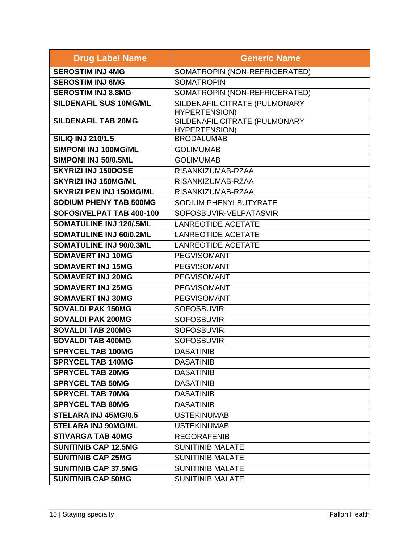| <b>Drug Label Name</b>          | <b>Generic Name</b>                                   |
|---------------------------------|-------------------------------------------------------|
| <b>SEROSTIM INJ 4MG</b>         | SOMATROPIN (NON-REFRIGERATED)                         |
| <b>SEROSTIM INJ 6MG</b>         | <b>SOMATROPIN</b>                                     |
| <b>SEROSTIM INJ 8.8MG</b>       | SOMATROPIN (NON-REFRIGERATED)                         |
| <b>SILDENAFIL SUS 10MG/ML</b>   | SILDENAFIL CITRATE (PULMONARY                         |
| <b>SILDENAFIL TAB 20MG</b>      | <b>HYPERTENSION)</b><br>SILDENAFIL CITRATE (PULMONARY |
|                                 | <b>HYPERTENSION)</b>                                  |
| <b>SILIQ INJ 210/1.5</b>        | <b>BRODALUMAB</b>                                     |
| SIMPONI INJ 100MG/ML            | <b>GOLIMUMAB</b>                                      |
| SIMPONI INJ 50/0.5ML            | <b>GOLIMUMAB</b>                                      |
| <b>SKYRIZI INJ 150DOSE</b>      | RISANKIZUMAB-RZAA                                     |
| <b>SKYRIZI INJ 150MG/ML</b>     | RISANKIZUMAB-RZAA                                     |
| <b>SKYRIZI PEN INJ 150MG/ML</b> | RISANKIZUMAB-RZAA                                     |
| <b>SODIUM PHENY TAB 500MG</b>   | SODIUM PHENYLBUTYRATE                                 |
| SOFOS/VELPAT TAB 400-100        | SOFOSBUVIR-VELPATASVIR                                |
| <b>SOMATULINE INJ 120/.5ML</b>  | <b>LANREOTIDE ACETATE</b>                             |
| <b>SOMATULINE INJ 60/0.2ML</b>  | <b>LANREOTIDE ACETATE</b>                             |
| <b>SOMATULINE INJ 90/0.3ML</b>  | <b>LANREOTIDE ACETATE</b>                             |
| <b>SOMAVERT INJ 10MG</b>        | <b>PEGVISOMANT</b>                                    |
| <b>SOMAVERT INJ 15MG</b>        | <b>PEGVISOMANT</b>                                    |
| <b>SOMAVERT INJ 20MG</b>        | <b>PEGVISOMANT</b>                                    |
| <b>SOMAVERT INJ 25MG</b>        | <b>PEGVISOMANT</b>                                    |
| <b>SOMAVERT INJ 30MG</b>        | <b>PEGVISOMANT</b>                                    |
| <b>SOVALDI PAK 150MG</b>        | <b>SOFOSBUVIR</b>                                     |
| <b>SOVALDI PAK 200MG</b>        | <b>SOFOSBUVIR</b>                                     |
| <b>SOVALDI TAB 200MG</b>        | <b>SOFOSBUVIR</b>                                     |
| <b>SOVALDI TAB 400MG</b>        | <b>SOFOSBUVIR</b>                                     |
| <b>SPRYCEL TAB 100MG</b>        | <b>DASATINIB</b>                                      |
| <b>SPRYCEL TAB 140MG</b>        | <b>DASATINIB</b>                                      |
| <b>SPRYCEL TAB 20MG</b>         | <b>DASATINIB</b>                                      |
| <b>SPRYCEL TAB 50MG</b>         | <b>DASATINIB</b>                                      |
| <b>SPRYCEL TAB 70MG</b>         | <b>DASATINIB</b>                                      |
| <b>SPRYCEL TAB 80MG</b>         | <b>DASATINIB</b>                                      |
| <b>STELARA INJ 45MG/0.5</b>     | <b>USTEKINUMAB</b>                                    |
| <b>STELARA INJ 90MG/ML</b>      | <b>USTEKINUMAB</b>                                    |
| <b>STIVARGA TAB 40MG</b>        | <b>REGORAFENIB</b>                                    |
| <b>SUNITINIB CAP 12.5MG</b>     | <b>SUNITINIB MALATE</b>                               |
| <b>SUNITINIB CAP 25MG</b>       | <b>SUNITINIB MALATE</b>                               |
| <b>SUNITINIB CAP 37.5MG</b>     | <b>SUNITINIB MALATE</b>                               |
| <b>SUNITINIB CAP 50MG</b>       | <b>SUNITINIB MALATE</b>                               |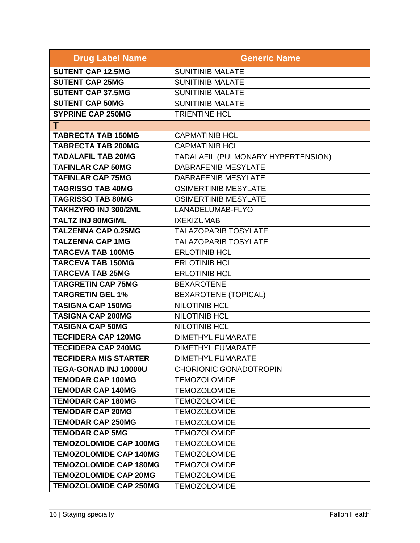| <b>Drug Label Name</b>        | <b>Generic Name</b>                |
|-------------------------------|------------------------------------|
| <b>SUTENT CAP 12.5MG</b>      | <b>SUNITINIB MALATE</b>            |
| <b>SUTENT CAP 25MG</b>        | <b>SUNITINIB MALATE</b>            |
| <b>SUTENT CAP 37.5MG</b>      | <b>SUNITINIB MALATE</b>            |
| <b>SUTENT CAP 50MG</b>        | <b>SUNITINIB MALATE</b>            |
| <b>SYPRINE CAP 250MG</b>      | <b>TRIENTINE HCL</b>               |
| T.                            |                                    |
| <b>TABRECTA TAB 150MG</b>     | <b>CAPMATINIB HCL</b>              |
| <b>TABRECTA TAB 200MG</b>     | <b>CAPMATINIB HCL</b>              |
| <b>TADALAFIL TAB 20MG</b>     | TADALAFIL (PULMONARY HYPERTENSION) |
| <b>TAFINLAR CAP 50MG</b>      | <b>DABRAFENIB MESYLATE</b>         |
| <b>TAFINLAR CAP 75MG</b>      | DABRAFENIB MESYLATE                |
| <b>TAGRISSO TAB 40MG</b>      | <b>OSIMERTINIB MESYLATE</b>        |
| <b>TAGRISSO TAB 80MG</b>      | <b>OSIMERTINIB MESYLATE</b>        |
| <b>TAKHZYRO INJ 300/2ML</b>   | LANADELUMAB-FLYO                   |
| <b>TALTZ INJ 80MG/ML</b>      | <b>IXEKIZUMAB</b>                  |
| <b>TALZENNA CAP 0.25MG</b>    | <b>TALAZOPARIB TOSYLATE</b>        |
| <b>TALZENNA CAP 1MG</b>       | <b>TALAZOPARIB TOSYLATE</b>        |
| <b>TARCEVA TAB 100MG</b>      | <b>ERLOTINIB HCL</b>               |
| <b>TARCEVA TAB 150MG</b>      | <b>ERLOTINIB HCL</b>               |
| <b>TARCEVA TAB 25MG</b>       | <b>ERLOTINIB HCL</b>               |
| <b>TARGRETIN CAP 75MG</b>     | <b>BEXAROTENE</b>                  |
| <b>TARGRETIN GEL 1%</b>       | <b>BEXAROTENE (TOPICAL)</b>        |
| <b>TASIGNA CAP 150MG</b>      | <b>NILOTINIB HCL</b>               |
| <b>TASIGNA CAP 200MG</b>      | <b>NILOTINIB HCL</b>               |
| <b>TASIGNA CAP 50MG</b>       | <b>NILOTINIB HCL</b>               |
| <b>TECFIDERA CAP 120MG</b>    | <b>DIMETHYL FUMARATE</b>           |
| <b>TECFIDERA CAP 240MG</b>    | <b>DIMETHYL FUMARATE</b>           |
| <b>TECFIDERA MIS STARTER</b>  | <b>DIMETHYL FUMARATE</b>           |
| TEGA-GONAD INJ 10000U         | <b>CHORIONIC GONADOTROPIN</b>      |
| <b>TEMODAR CAP 100MG</b>      | <b>TEMOZOLOMIDE</b>                |
| <b>TEMODAR CAP 140MG</b>      | <b>TEMOZOLOMIDE</b>                |
| <b>TEMODAR CAP 180MG</b>      | <b>TEMOZOLOMIDE</b>                |
| <b>TEMODAR CAP 20MG</b>       | <b>TEMOZOLOMIDE</b>                |
| <b>TEMODAR CAP 250MG</b>      | <b>TEMOZOLOMIDE</b>                |
| <b>TEMODAR CAP 5MG</b>        | <b>TEMOZOLOMIDE</b>                |
| <b>TEMOZOLOMIDE CAP 100MG</b> | <b>TEMOZOLOMIDE</b>                |
| <b>TEMOZOLOMIDE CAP 140MG</b> | <b>TEMOZOLOMIDE</b>                |
| <b>TEMOZOLOMIDE CAP 180MG</b> | <b>TEMOZOLOMIDE</b>                |
| <b>TEMOZOLOMIDE CAP 20MG</b>  | <b>TEMOZOLOMIDE</b>                |
| <b>TEMOZOLOMIDE CAP 250MG</b> | <b>TEMOZOLOMIDE</b>                |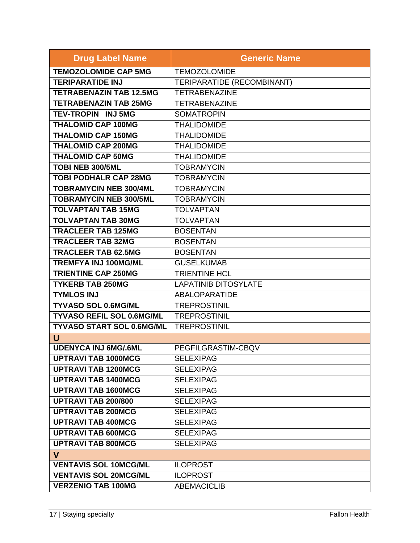| <b>Drug Label Name</b>           | <b>Generic Name</b>         |
|----------------------------------|-----------------------------|
| <b>TEMOZOLOMIDE CAP 5MG</b>      | <b>TEMOZOLOMIDE</b>         |
| <b>TERIPARATIDE INJ</b>          | TERIPARATIDE (RECOMBINANT)  |
| <b>TETRABENAZIN TAB 12.5MG</b>   | <b>TETRABENAZINE</b>        |
| <b>TETRABENAZIN TAB 25MG</b>     | <b>TETRABENAZINE</b>        |
| <b>TEV-TROPIN INJ 5MG</b>        | <b>SOMATROPIN</b>           |
| <b>THALOMID CAP 100MG</b>        | <b>THALIDOMIDE</b>          |
| <b>THALOMID CAP 150MG</b>        | <b>THALIDOMIDE</b>          |
| <b>THALOMID CAP 200MG</b>        | <b>THALIDOMIDE</b>          |
| <b>THALOMID CAP 50MG</b>         | <b>THALIDOMIDE</b>          |
| TOBI NEB 300/5ML                 | <b>TOBRAMYCIN</b>           |
| <b>TOBI PODHALR CAP 28MG</b>     | <b>TOBRAMYCIN</b>           |
| <b>TOBRAMYCIN NEB 300/4ML</b>    | <b>TOBRAMYCIN</b>           |
| <b>TOBRAMYCIN NEB 300/5ML</b>    | <b>TOBRAMYCIN</b>           |
| <b>TOLVAPTAN TAB 15MG</b>        | <b>TOLVAPTAN</b>            |
| <b>TOLVAPTAN TAB 30MG</b>        | <b>TOLVAPTAN</b>            |
| <b>TRACLEER TAB 125MG</b>        | <b>BOSENTAN</b>             |
| <b>TRACLEER TAB 32MG</b>         | <b>BOSENTAN</b>             |
| <b>TRACLEER TAB 62.5MG</b>       | <b>BOSENTAN</b>             |
| <b>TREMFYA INJ 100MG/ML</b>      | <b>GUSELKUMAB</b>           |
| <b>TRIENTINE CAP 250MG</b>       | <b>TRIENTINE HCL</b>        |
| <b>TYKERB TAB 250MG</b>          | <b>LAPATINIB DITOSYLATE</b> |
| <b>TYMLOS INJ</b>                | <b>ABALOPARATIDE</b>        |
| <b>TYVASO SOL 0.6MG/ML</b>       | <b>TREPROSTINIL</b>         |
| <b>TYVASO REFIL SOL 0.6MG/ML</b> | <b>TREPROSTINIL</b>         |
| <b>TYVASO START SOL 0.6MG/ML</b> | <b>TREPROSTINIL</b>         |
| U                                |                             |
| <b>UDENYCA INJ 6MG/.6ML</b>      | PEGFILGRASTIM-CBQV          |
| <b>UPTRAVI TAB 1000MCG</b>       | <b>SELEXIPAG</b>            |
| <b>UPTRAVI TAB 1200MCG</b>       | <b>SELEXIPAG</b>            |
| <b>UPTRAVI TAB 1400MCG</b>       | <b>SELEXIPAG</b>            |
| <b>UPTRAVI TAB 1600MCG</b>       | <b>SELEXIPAG</b>            |
| <b>UPTRAVI TAB 200/800</b>       | <b>SELEXIPAG</b>            |
| <b>UPTRAVI TAB 200MCG</b>        | <b>SELEXIPAG</b>            |
| <b>UPTRAVI TAB 400MCG</b>        | <b>SELEXIPAG</b>            |
| <b>UPTRAVI TAB 600MCG</b>        | <b>SELEXIPAG</b>            |
| <b>UPTRAVI TAB 800MCG</b>        | <b>SELEXIPAG</b>            |
| V                                |                             |
| <b>VENTAVIS SOL 10MCG/ML</b>     | <b>ILOPROST</b>             |
| <b>VENTAVIS SOL 20MCG/ML</b>     | <b>ILOPROST</b>             |
| <b>VERZENIO TAB 100MG</b>        | <b>ABEMACICLIB</b>          |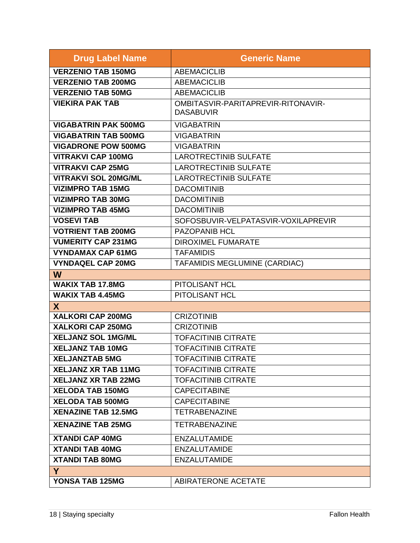| <b>Drug Label Name</b>      | <b>Generic Name</b>                                    |
|-----------------------------|--------------------------------------------------------|
| <b>VERZENIO TAB 150MG</b>   | <b>ABEMACICLIB</b>                                     |
| <b>VERZENIO TAB 200MG</b>   | <b>ABEMACICLIB</b>                                     |
| <b>VERZENIO TAB 50MG</b>    | <b>ABEMACICLIB</b>                                     |
| <b>VIEKIRA PAK TAB</b>      | OMBITASVIR-PARITAPREVIR-RITONAVIR-<br><b>DASABUVIR</b> |
| <b>VIGABATRIN PAK 500MG</b> | <b>VIGABATRIN</b>                                      |
| <b>VIGABATRIN TAB 500MG</b> | <b>VIGABATRIN</b>                                      |
| <b>VIGADRONE POW 500MG</b>  | <b>VIGABATRIN</b>                                      |
| <b>VITRAKVI CAP 100MG</b>   | <b>LAROTRECTINIB SULFATE</b>                           |
| <b>VITRAKVI CAP 25MG</b>    | <b>LAROTRECTINIB SULFATE</b>                           |
| <b>VITRAKVI SOL 20MG/ML</b> | <b>LAROTRECTINIB SULFATE</b>                           |
| <b>VIZIMPRO TAB 15MG</b>    | <b>DACOMITINIB</b>                                     |
| <b>VIZIMPRO TAB 30MG</b>    | <b>DACOMITINIB</b>                                     |
| <b>VIZIMPRO TAB 45MG</b>    | <b>DACOMITINIB</b>                                     |
| <b>VOSEVI TAB</b>           | SOFOSBUVIR-VELPATASVIR-VOXILAPREVIR                    |
| <b>VOTRIENT TAB 200MG</b>   | <b>PAZOPANIB HCL</b>                                   |
| <b>VUMERITY CAP 231MG</b>   | <b>DIROXIMEL FUMARATE</b>                              |
| <b>VYNDAMAX CAP 61MG</b>    | <b>TAFAMIDIS</b>                                       |
| <b>VYNDAQEL CAP 20MG</b>    | TAFAMIDIS MEGLUMINE (CARDIAC)                          |
| W                           |                                                        |
| <b>WAKIX TAB 17.8MG</b>     | <b>PITOLISANT HCL</b>                                  |
| <b>WAKIX TAB 4.45MG</b>     | PITOLISANT HCL                                         |
| X                           |                                                        |
| XALKORI CAP 200MG           | <b>CRIZOTINIB</b>                                      |
| XALKORI CAP 250MG           | <b>CRIZOTINIB</b>                                      |
| <b>XELJANZ SOL 1MG/ML</b>   | <b>TOFACITINIB CITRATE</b>                             |
| <b>XELJANZ TAB 10MG</b>     | <b>TOFACITINIB CITRATE</b>                             |
| <b>XELJANZTAB 5MG</b>       | <b>TOFACITINIB CITRATE</b>                             |
| <b>XELJANZ XR TAB 11MG</b>  | <b>TOFACITINIB CITRATE</b>                             |
| <b>XELJANZ XR TAB 22MG</b>  | <b>TOFACITINIB CITRATE</b>                             |
| <b>XELODA TAB 150MG</b>     | <b>CAPECITABINE</b>                                    |
| <b>XELODA TAB 500MG</b>     | <b>CAPECITABINE</b>                                    |
| <b>XENAZINE TAB 12.5MG</b>  | <b>TETRABENAZINE</b>                                   |
| <b>XENAZINE TAB 25MG</b>    | <b>TETRABENAZINE</b>                                   |
| <b>XTANDI CAP 40MG</b>      | <b>ENZALUTAMIDE</b>                                    |
| <b>XTANDI TAB 40MG</b>      | <b>ENZALUTAMIDE</b>                                    |
| <b>XTANDI TAB 80MG</b>      | <b>ENZALUTAMIDE</b>                                    |
| Y                           |                                                        |
| YONSA TAB 125MG             | ABIRATERONE ACETATE                                    |